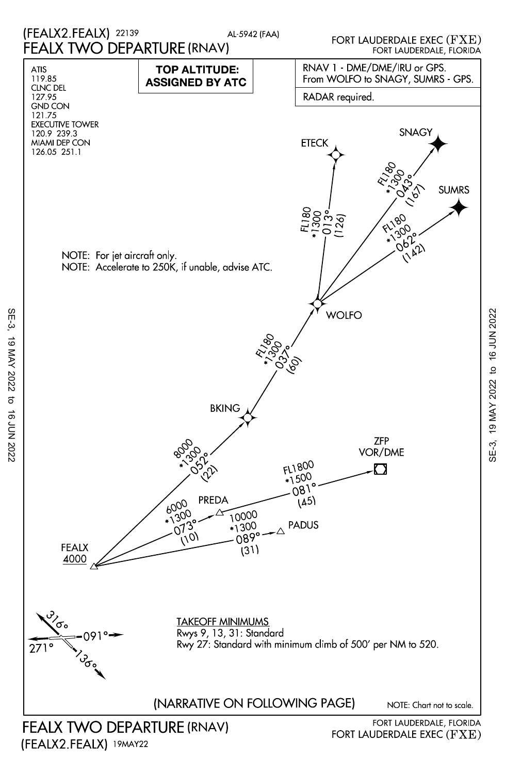

SE-3, 19 MAY 2022 to 16 JUN 2022

 $\sigma$ 

16 JUN 2022

19 MAY 2022

SE-3,